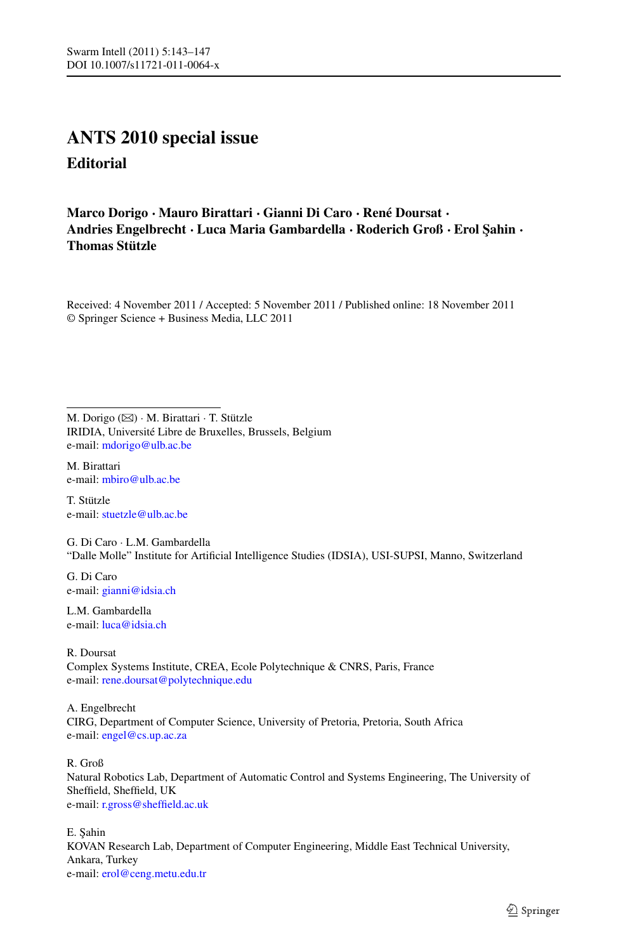## **ANTS 2010 special issue Editorial**

## **Marco Dorigo · Mauro Birattari · Gianni Di Caro · René Doursat · Andries Engelbrecht · Luca Maria Gambardella · Roderich Groß · Erol ¸Sahin · Thomas Stützle**

Received: 4 November 2011 / Accepted: 5 November 2011 / Published online: 18 November 2011 © Springer Science + Business Media, LLC 2011

M. Dorigo ( $\boxtimes$ ) · M. Birattari · T. Stützle IRIDIA, Université Libre de Bruxelles, Brussels, Belgium e-mail: [mdorigo@ulb.ac.be](mailto:mdorigo@ulb.ac.be)

M. Birattari e-mail: [mbiro@ulb.ac.be](mailto:mbiro@ulb.ac.be)

T. Stützle e-mail: [stuetzle@ulb.ac.be](mailto:stuetzle@ulb.ac.be)

G. Di Caro · L.M. Gambardella "Dalle Molle" Institute for Artificial Intelligence Studies (IDSIA), USI-SUPSI, Manno, Switzerland

G. Di Caro e-mail: [gianni@idsia.ch](mailto:gianni@idsia.ch)

L.M. Gambardella e-mail: [luca@idsia.ch](mailto:luca@idsia.ch)

R. Doursat Complex Systems Institute, CREA, Ecole Polytechnique & CNRS, Paris, France e-mail: [rene.doursat@polytechnique.edu](mailto:rene.doursat@polytechnique.edu)

A. Engelbrecht CIRG, Department of Computer Science, University of Pretoria, Pretoria, South Africa e-mail: [engel@cs.up.ac.za](mailto:engel@cs.up.ac.za)

R. Groß

Natural Robotics Lab, Department of Automatic Control and Systems Engineering, The University of Sheffield, Sheffield, UK e-mail: [r.gross@sheffield.ac.uk](mailto:r.gross@sheffield.ac.uk)

E. Şahin KOVAN Research Lab, Department of Computer Engineering, Middle East Technical University, Ankara, Turkey e-mail: [erol@ceng.metu.edu.tr](mailto:erol@ceng.metu.edu.tr)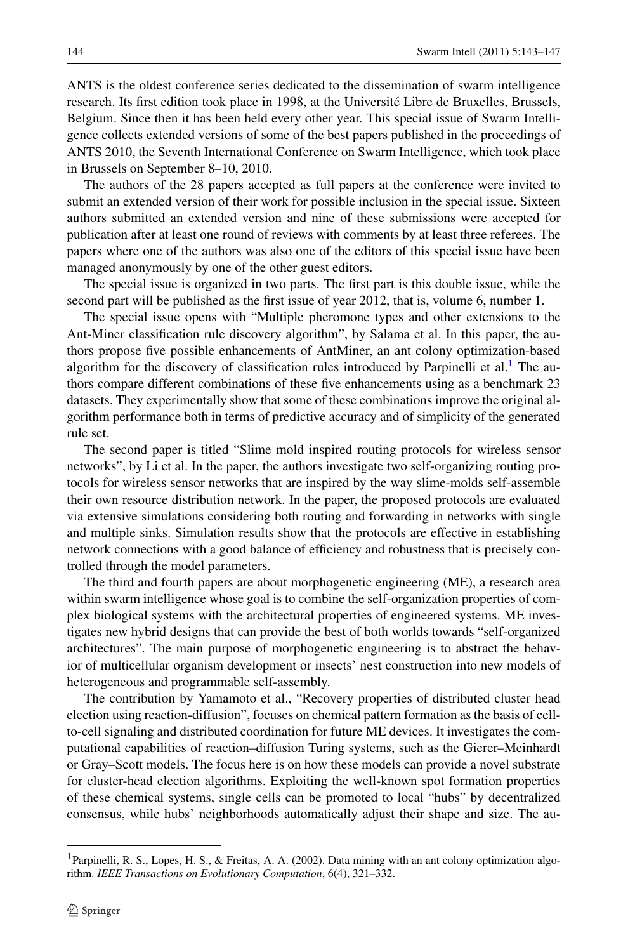ANTS is the oldest conference series dedicated to the dissemination of swarm intelligence research. Its first edition took place in 1998, at the Université Libre de Bruxelles, Brussels, Belgium. Since then it has been held every other year. This special issue of Swarm Intelligence collects extended versions of some of the best papers published in the proceedings of ANTS 2010, the Seventh International Conference on Swarm Intelligence, which took place in Brussels on September 8–10, 2010.

The authors of the 28 papers accepted as full papers at the conference were invited to submit an extended version of their work for possible inclusion in the special issue. Sixteen authors submitted an extended version and nine of these submissions were accepted for publication after at least one round of reviews with comments by at least three referees. The papers where one of the authors was also one of the editors of this special issue have been managed anonymously by one of the other guest editors.

The special issue is organized in two parts. The first part is this double issue, while the second part will be published as the first issue of year 2012, that is, volume 6, number 1.

The special issue opens with "Multiple pheromone types and other extensions to the Ant-Miner classification rule discovery algorithm", by Salama et al. In this paper, the authors propose five possible enhancements of AntMiner, an ant colony optimization-based algorithm for the discovery of classification rules introduced by Parpinelli et al.<sup>[1](#page-1-0)</sup> The authors compare different combinations of these five enhancements using as a benchmark 23 datasets. They experimentally show that some of these combinations improve the original algorithm performance both in terms of predictive accuracy and of simplicity of the generated rule set.

The second paper is titled "Slime mold inspired routing protocols for wireless sensor networks", by Li et al. In the paper, the authors investigate two self-organizing routing protocols for wireless sensor networks that are inspired by the way slime-molds self-assemble their own resource distribution network. In the paper, the proposed protocols are evaluated via extensive simulations considering both routing and forwarding in networks with single and multiple sinks. Simulation results show that the protocols are effective in establishing network connections with a good balance of efficiency and robustness that is precisely controlled through the model parameters.

The third and fourth papers are about morphogenetic engineering (ME), a research area within swarm intelligence whose goal is to combine the self-organization properties of complex biological systems with the architectural properties of engineered systems. ME investigates new hybrid designs that can provide the best of both worlds towards "self-organized architectures". The main purpose of morphogenetic engineering is to abstract the behavior of multicellular organism development or insects' nest construction into new models of heterogeneous and programmable self-assembly.

<span id="page-1-0"></span>The contribution by Yamamoto et al., "Recovery properties of distributed cluster head election using reaction-diffusion", focuses on chemical pattern formation as the basis of cellto-cell signaling and distributed coordination for future ME devices. It investigates the computational capabilities of reaction–diffusion Turing systems, such as the Gierer–Meinhardt or Gray–Scott models. The focus here is on how these models can provide a novel substrate for cluster-head election algorithms. Exploiting the well-known spot formation properties of these chemical systems, single cells can be promoted to local "hubs" by decentralized consensus, while hubs' neighborhoods automatically adjust their shape and size. The au-

<sup>1</sup>Parpinelli, R. S., Lopes, H. S., & Freitas, A. A. (2002). Data mining with an ant colony optimization algorithm. *IEEE Transactions on Evolutionary Computation*, 6(4), 321–332.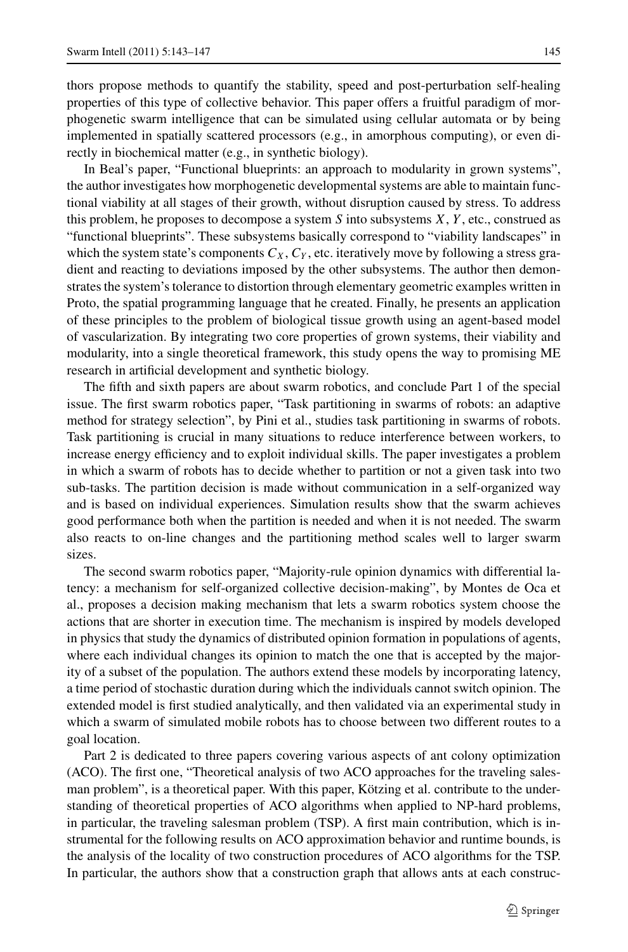thors propose methods to quantify the stability, speed and post-perturbation self-healing properties of this type of collective behavior. This paper offers a fruitful paradigm of morphogenetic swarm intelligence that can be simulated using cellular automata or by being implemented in spatially scattered processors (e.g., in amorphous computing), or even directly in biochemical matter (e.g., in synthetic biology).

In Beal's paper, "Functional blueprints: an approach to modularity in grown systems", the author investigates how morphogenetic developmental systems are able to maintain functional viability at all stages of their growth, without disruption caused by stress. To address this problem, he proposes to decompose a system *S* into subsystems *X*, *Y* , etc., construed as "functional blueprints". These subsystems basically correspond to "viability landscapes" in which the system state's components  $C_X$ ,  $C_Y$ , etc. iteratively move by following a stress gradient and reacting to deviations imposed by the other subsystems. The author then demonstrates the system's tolerance to distortion through elementary geometric examples written in Proto, the spatial programming language that he created. Finally, he presents an application of these principles to the problem of biological tissue growth using an agent-based model of vascularization. By integrating two core properties of grown systems, their viability and modularity, into a single theoretical framework, this study opens the way to promising ME research in artificial development and synthetic biology.

The fifth and sixth papers are about swarm robotics, and conclude Part 1 of the special issue. The first swarm robotics paper, "Task partitioning in swarms of robots: an adaptive method for strategy selection", by Pini et al., studies task partitioning in swarms of robots. Task partitioning is crucial in many situations to reduce interference between workers, to increase energy efficiency and to exploit individual skills. The paper investigates a problem in which a swarm of robots has to decide whether to partition or not a given task into two sub-tasks. The partition decision is made without communication in a self-organized way and is based on individual experiences. Simulation results show that the swarm achieves good performance both when the partition is needed and when it is not needed. The swarm also reacts to on-line changes and the partitioning method scales well to larger swarm sizes.

The second swarm robotics paper, "Majority-rule opinion dynamics with differential latency: a mechanism for self-organized collective decision-making", by Montes de Oca et al., proposes a decision making mechanism that lets a swarm robotics system choose the actions that are shorter in execution time. The mechanism is inspired by models developed in physics that study the dynamics of distributed opinion formation in populations of agents, where each individual changes its opinion to match the one that is accepted by the majority of a subset of the population. The authors extend these models by incorporating latency, a time period of stochastic duration during which the individuals cannot switch opinion. The extended model is first studied analytically, and then validated via an experimental study in which a swarm of simulated mobile robots has to choose between two different routes to a goal location.

Part 2 is dedicated to three papers covering various aspects of ant colony optimization (ACO). The first one, "Theoretical analysis of two ACO approaches for the traveling salesman problem", is a theoretical paper. With this paper, Kötzing et al. contribute to the understanding of theoretical properties of ACO algorithms when applied to NP-hard problems, in particular, the traveling salesman problem (TSP). A first main contribution, which is instrumental for the following results on ACO approximation behavior and runtime bounds, is the analysis of the locality of two construction procedures of ACO algorithms for the TSP. In particular, the authors show that a construction graph that allows ants at each construc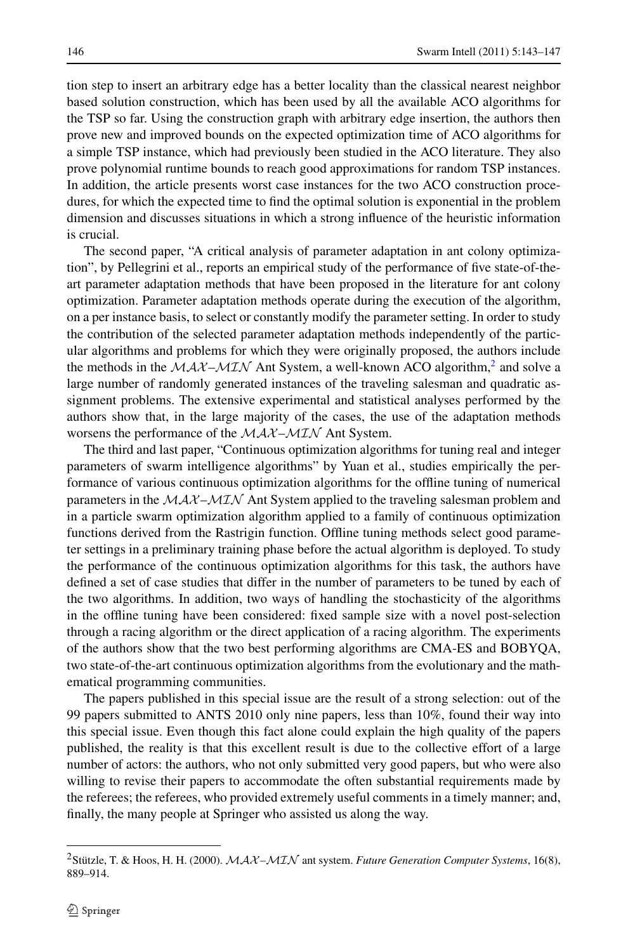tion step to insert an arbitrary edge has a better locality than the classical nearest neighbor based solution construction, which has been used by all the available ACO algorithms for the TSP so far. Using the construction graph with arbitrary edge insertion, the authors then prove new and improved bounds on the expected optimization time of ACO algorithms for a simple TSP instance, which had previously been studied in the ACO literature. They also prove polynomial runtime bounds to reach good approximations for random TSP instances. In addition, the article presents worst case instances for the two ACO construction procedures, for which the expected time to find the optimal solution is exponential in the problem dimension and discusses situations in which a strong influence of the heuristic information is crucial.

The second paper, "A critical analysis of parameter adaptation in ant colony optimization", by Pellegrini et al., reports an empirical study of the performance of five state-of-theart parameter adaptation methods that have been proposed in the literature for ant colony optimization. Parameter adaptation methods operate during the execution of the algorithm, on a per instance basis, to select or constantly modify the parameter setting. In order to study the contribution of the selected parameter adaptation methods independently of the particular algorithms and problems for which they were originally proposed, the authors include the methods in the  $MAX-MIN$  Ant System, a well-known ACO algorithm,<sup>[2](#page-3-0)</sup> and solve a large number of randomly generated instances of the traveling salesman and quadratic assignment problems. The extensive experimental and statistical analyses performed by the authors show that, in the large majority of the cases, the use of the adaptation methods worsens the performance of the  $MAX-MIN$  Ant System.

The third and last paper, "Continuous optimization algorithms for tuning real and integer parameters of swarm intelligence algorithms" by Yuan et al., studies empirically the performance of various continuous optimization algorithms for the offline tuning of numerical parameters in the  $MAX-MIN$  Ant System applied to the traveling salesman problem and in a particle swarm optimization algorithm applied to a family of continuous optimization functions derived from the Rastrigin function. Offline tuning methods select good parameter settings in a preliminary training phase before the actual algorithm is deployed. To study the performance of the continuous optimization algorithms for this task, the authors have defined a set of case studies that differ in the number of parameters to be tuned by each of the two algorithms. In addition, two ways of handling the stochasticity of the algorithms in the offline tuning have been considered: fixed sample size with a novel post-selection through a racing algorithm or the direct application of a racing algorithm. The experiments of the authors show that the two best performing algorithms are CMA-ES and BOBYQA, two state-of-the-art continuous optimization algorithms from the evolutionary and the mathematical programming communities.

<span id="page-3-0"></span>The papers published in this special issue are the result of a strong selection: out of the 99 papers submitted to ANTS 2010 only nine papers, less than 10%, found their way into this special issue. Even though this fact alone could explain the high quality of the papers published, the reality is that this excellent result is due to the collective effort of a large number of actors: the authors, who not only submitted very good papers, but who were also willing to revise their papers to accommodate the often substantial requirements made by the referees; the referees, who provided extremely useful comments in a timely manner; and, finally, the many people at Springer who assisted us along the way.

<sup>&</sup>lt;sup>2</sup> Stützle, T. & Hoos, H. H. (2000).  $MAX-MIN$  ant system. *Future Generation Computer Systems*, 16(8), 889–914.